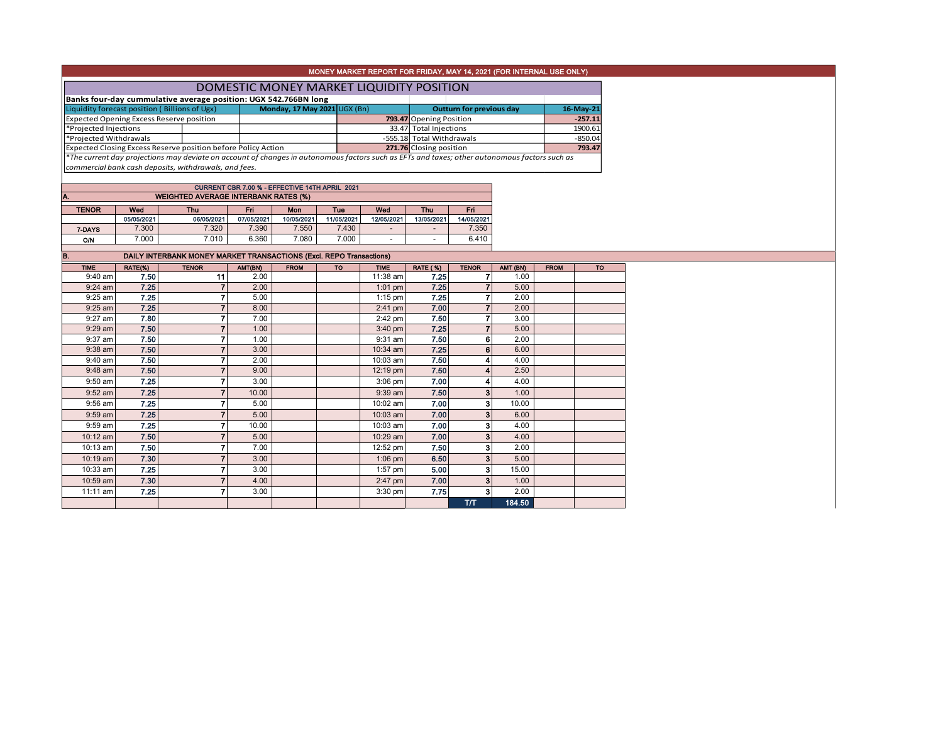| MONEY MARKET REPORT FOR FRIDAY, MAY 14, 2021 (FOR INTERNAL USE ONLY)                                                                             |  |                              |  |                           |           |           |  |  |  |  |  |
|--------------------------------------------------------------------------------------------------------------------------------------------------|--|------------------------------|--|---------------------------|-----------|-----------|--|--|--|--|--|
| DOMESTIC MONEY MARKET LIQUIDITY POSITION                                                                                                         |  |                              |  |                           |           |           |  |  |  |  |  |
| Banks four-day cummulative average position: UGX 542.766BN long                                                                                  |  |                              |  |                           |           |           |  |  |  |  |  |
| Liquidity forecast position (Billions of Ugx)                                                                                                    |  | Monday, 17 May 2021 UGX (Bn) |  | Outturn for previous day  | 16-May-21 |           |  |  |  |  |  |
| <b>Expected Opening Excess Reserve position</b>                                                                                                  |  |                              |  | 793.47 Opening Position   | $-257.11$ |           |  |  |  |  |  |
| *Projected Injections                                                                                                                            |  |                              |  | 33.47 Total Injections    |           | 1900.61   |  |  |  |  |  |
| *Projected Withdrawals                                                                                                                           |  |                              |  | -555.18 Total Withdrawals |           | $-850.04$ |  |  |  |  |  |
| Expected Closing Excess Reserve position before Policy Action                                                                                    |  |                              |  | 271.76 Closing position   |           | 793.47    |  |  |  |  |  |
| $*$ The current day projections may deviate on account of changes in autonomous factors such as EFTs and taxes; other autonomous factors such as |  |                              |  |                           |           |           |  |  |  |  |  |

*commercial bank cash deposits, withdrawals, and fees.*

A. WEIGHTED AVERAGE INTERBANK RATES (%) CURRENT CBR 7.00 % - EFFECTIVE 14TH APRIL 2021

| <b>COLLEGE</b> | <u>WEIGHTED AVENAGE INTENDAINA INTER LAT</u> |            |            |            |            |            |            |            |  |  |  |  |  |  |  |
|----------------|----------------------------------------------|------------|------------|------------|------------|------------|------------|------------|--|--|--|--|--|--|--|
| <b>TENOR</b>   | Wed<br>Fri<br>Wed<br>Thu<br>Mon<br>Tue       |            |            |            |            |            |            |            |  |  |  |  |  |  |  |
|                |                                              |            |            |            |            |            | Thu        |            |  |  |  |  |  |  |  |
|                | 05/05/2021                                   | 06/05/2021 | 07/05/2021 | 10/05/2021 | 11/05/2021 | 12/05/2021 | 13/05/2021 | 14/05/2021 |  |  |  |  |  |  |  |
| 7-DAYS         | 7.300                                        | 7,320      | 7.390      | .550       | 7.430      | -          |            | 7.350      |  |  |  |  |  |  |  |
| O/N            | 000.7                                        | 7.010      | 6.360      | .080       | 7.000      | -          | -          | 6.410      |  |  |  |  |  |  |  |

| B.          |         | DAILY INTERBANK MONEY MARKET TRANSACTIONS (Excl. REPO Transactions) |         |             |           |             |                 |                |          |             |           |
|-------------|---------|---------------------------------------------------------------------|---------|-------------|-----------|-------------|-----------------|----------------|----------|-------------|-----------|
| <b>TIME</b> | RATE(%) | <b>TENOR</b>                                                        | AMT(BN) | <b>FROM</b> | <b>TO</b> | <b>TIME</b> | <b>RATE (%)</b> | <b>TENOR</b>   | AMT (BN) | <b>FROM</b> | <b>TO</b> |
| 9:40 am     | 7.50    | 11                                                                  | 2.00    |             |           | 11:38 am    | 7.25            | 7              | 1.00     |             |           |
| $9:24$ am   | 7.25    |                                                                     | 2.00    |             |           | $1:01$ pm   | 7.25            | $\overline{7}$ | 5.00     |             |           |
| $9:25$ am   | 7.25    |                                                                     | 5.00    |             |           | $1:15$ pm   | 7.25            | 7              | 2.00     |             |           |
| $9:25$ am   | 7.25    |                                                                     | 8.00    |             |           | $2:41$ pm   | 7.00            | $\overline{7}$ | 2.00     |             |           |
| 9:27 am     | 7.80    |                                                                     | 7.00    |             |           | $2:42$ pm   | 7.50            | 7              | 3.00     |             |           |
| 9:29 am     | 7.50    |                                                                     | 1.00    |             |           | $3:40$ pm   | 7.25            | 7              | 5.00     |             |           |
| 9:37 am     | 7.50    |                                                                     | 1.00    |             |           | $9:31$ am   | 7.50            | 6              | 2.00     |             |           |
| $9:38$ am   | 7.50    |                                                                     | 3.00    |             |           | 10:34 am    | 7.25            | 6              | 6.00     |             |           |
| 9:40 am     | 7.50    |                                                                     | 2.00    |             |           | 10:03 am    | 7.50            | 4              | 4.00     |             |           |
| 9:48 am     | 7.50    |                                                                     | 9.00    |             |           | 12:19 pm    | 7.50            | 4              | 2.50     |             |           |
| $9:50$ am   | 7.25    |                                                                     | 3.00    |             |           | $3:06$ pm   | 7.00            | 4              | 4.00     |             |           |
| $9:52$ am   | 7.25    |                                                                     | 10.00   |             |           | $9:39$ am   | 7.50            | 3              | 1.00     |             |           |
| 9:56 am     | 7.25    |                                                                     | 5.00    |             |           | 10:02 am    | 7.00            | 3              | 10.00    |             |           |
| $9:59$ am   | 7.25    |                                                                     | 5.00    |             |           | 10:03 am    | 7.00            | 3              | 6.00     |             |           |
| $9:59$ am   | 7.25    |                                                                     | 10.00   |             |           | 10:03 am    | 7.00            | 3              | 4.00     |             |           |
| 10:12 am    | 7.50    |                                                                     | 5.00    |             |           | 10:29 am    | 7.00            | 3              | 4.00     |             |           |
| 10:13 am    | 7.50    |                                                                     | 7.00    |             |           | 12:52 pm    | 7.50            | 3              | 2.00     |             |           |
| 10:19 am    | 7.30    |                                                                     | 3.00    |             |           | $1:06$ pm   | 6.50            | 3              | 5.00     |             |           |
| 10:33 am    | 7.25    |                                                                     | 3.00    |             |           | 1:57 pm     | 5.00            | 3              | 15.00    |             |           |
| 10:59 am    | 7.30    |                                                                     | 4.00    |             |           | $2:47$ pm   | 7.00            | 3              | 1.00     |             |           |
| 11:11 am    | 7.25    |                                                                     | 3.00    |             |           | $3:30$ pm   | 7.75            | 3              | 2.00     |             |           |
|             |         |                                                                     |         |             |           |             |                 | <b>T/T</b>     | 184.50   |             |           |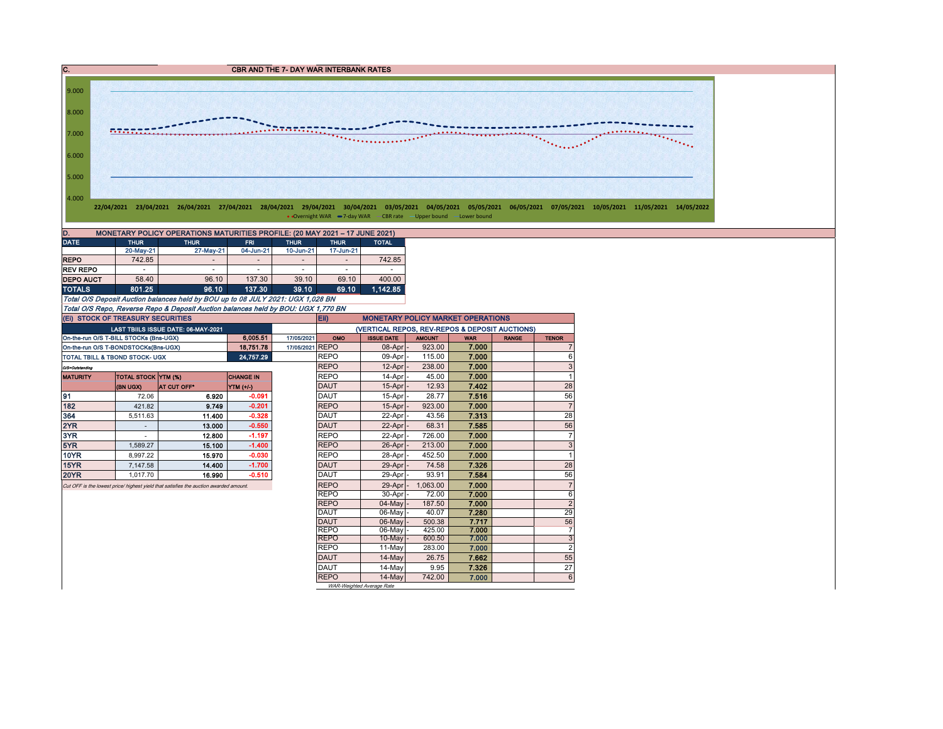

• Overnight WAR -7-day WAR - CBR rate -Upper bound -Lower bound

| MONETARY POLICY OPERATIONS MATURITIES PROFILE: (20 MAY 2021 - 17 JUNE 2021)<br>ID. |                          |                          |            |                |             |              |  |  |  |  |  |  |  |
|------------------------------------------------------------------------------------|--------------------------|--------------------------|------------|----------------|-------------|--------------|--|--|--|--|--|--|--|
| <b>DATE</b>                                                                        | <b>THUR</b>              | <b>THUR</b>              | <b>FRI</b> | <b>THUR</b>    | <b>THUR</b> | <b>TOTAL</b> |  |  |  |  |  |  |  |
|                                                                                    | 20-May-21                | 27-May-21                | 04-Jun-21  | 10-Jun-21      | 17-Jun-21   |              |  |  |  |  |  |  |  |
| <b>REPO</b>                                                                        | 742.85                   | $\overline{\phantom{a}}$ |            | $\,$           |             | 742.85       |  |  |  |  |  |  |  |
| <b>REV REPO</b>                                                                    | $\overline{\phantom{0}}$ | ۰                        |            | $\overline{a}$ |             |              |  |  |  |  |  |  |  |
| <b>DEPO AUCT</b>                                                                   | 58.40                    | 96.10                    | 137.30     | 39.10          | 69.10       | 400.00       |  |  |  |  |  |  |  |
| <b>TOTALS</b>                                                                      | 801.25                   | 96.10                    | 137.30     | 39.10          | 69.10       | 1.142.85     |  |  |  |  |  |  |  |

Total O/S Deposit Auction balances held by BOU up to 08 JULY 2021: UGX 1,028 BN Total O/S Repo, Reverse Repo & Deposit Auction balances held by BOU: UGX 1,770 BN

|                                           | (EI) STOCK OF TREASURY SECURITIES      |                                                                                       |                  |                 |                                                | <b>Eii</b><br><b>MONETARY POLICY MARKET OPERATIONS</b> |               |            |              |                |  |  |  |  |
|-------------------------------------------|----------------------------------------|---------------------------------------------------------------------------------------|------------------|-----------------|------------------------------------------------|--------------------------------------------------------|---------------|------------|--------------|----------------|--|--|--|--|
|                                           |                                        | LAST TBIILS ISSUE DATE: 06-MAY-2021                                                   |                  |                 | (VERTICAL REPOS, REV-REPOS & DEPOSIT AUCTIONS) |                                                        |               |            |              |                |  |  |  |  |
|                                           | On-the-run O/S T-BILL STOCKs (Bns-UGX) |                                                                                       | 6.005.51         | 17/05/2021      | OMO                                            | <b>ISSUE DATE</b>                                      | <b>AMOUNT</b> | <b>WAR</b> | <b>RANGE</b> | <b>TENOR</b>   |  |  |  |  |
|                                           | On-the-run O/S T-BONDSTOCKs(Bns-UGX)   |                                                                                       | 18 751 78        | 17/05/2021 REPO |                                                | 08-Apr -                                               | 923.00        | 7.000      |              | 7              |  |  |  |  |
| <b>TOTAL TBILL &amp; TBOND STOCK- UGX</b> |                                        |                                                                                       | 24,757.29        |                 | <b>REPO</b>                                    | 09-Apr -                                               | 115.00        | 7.000      |              | 6              |  |  |  |  |
| O/S=Outstanding                           |                                        |                                                                                       |                  |                 | <b>REPO</b>                                    | $12$ -Apr $ -$                                         | 238.00        | 7.000      |              | 3              |  |  |  |  |
| <b>MATURITY</b>                           | <b>TOTAL STOCK YTM (%)</b>             |                                                                                       | <b>CHANGE IN</b> |                 | <b>REPO</b>                                    | 14-Apr -                                               | 45.00         | 7.000      |              | 1              |  |  |  |  |
|                                           | <b>(BN UGX)</b>                        | <b>AT CUT OFF*</b>                                                                    | YTM (+/-)        |                 | <b>DAUT</b>                                    | $15-Apr$ -                                             | 12.93         | 7.402      |              | 28             |  |  |  |  |
| 191                                       | 72.06                                  | 6.920                                                                                 | $-0.091$         |                 | <b>DAUT</b>                                    | 15-Apr -                                               | 28.77         | 7.516      |              | 56             |  |  |  |  |
| 182                                       | 421.82                                 | 9.749                                                                                 | $-0.201$         |                 | <b>REPO</b>                                    | $15$ -Apr $ -$                                         | 923.00        | 7.000      |              | $\overline{7}$ |  |  |  |  |
| 364                                       | 5.511.63                               | 11.400                                                                                | $-0.328$         |                 | <b>DAUT</b>                                    | 22-Apr -                                               | 43.56         | 7.313      |              | 28             |  |  |  |  |
| 2YR                                       |                                        | 13.000                                                                                | $-0.550$         |                 | <b>DAUT</b>                                    | $22$ -Apr $ -$                                         | 68.31         | 7.585      |              | 56             |  |  |  |  |
| 3YR                                       |                                        | 12.800                                                                                | $-1.197$         |                 | <b>REPO</b>                                    | 22-Apr -                                               | 726.00        | 7.000      |              | $\overline{7}$ |  |  |  |  |
| 5YR                                       | 1.589.27                               | 15.100                                                                                | $-1.400$         |                 | <b>REPO</b>                                    | $26$ -Apr $ -$                                         | 213.00        | 7.000      |              | 3              |  |  |  |  |
| <b>10YR</b>                               | 8.997.22                               | 15.970                                                                                | $-0.030$         |                 | <b>REPO</b>                                    | 28-Apr                                                 | 452.50        | 7.000      |              |                |  |  |  |  |
| <b>15YR</b>                               | 7.147.58                               | 14.400                                                                                | $-1.700$         |                 | DAUT                                           | 29-Apr -                                               | 74.58         | 7.326      |              | 28             |  |  |  |  |
| <b>20YR</b>                               | 1.017.70                               | 16.990                                                                                | $-0.510$         |                 | <b>DAUT</b>                                    | 29-Apr                                                 | 93.91         | 7.584      |              | 56             |  |  |  |  |
|                                           |                                        | Cut OFF is the lowest price/ highest yield that satisfies the auction awarded amount. |                  |                 | <b>REPO</b>                                    | 29-Apr                                                 | 1.063.00      | 7.000      |              | $\overline{7}$ |  |  |  |  |
|                                           |                                        |                                                                                       |                  |                 | <b>REPO</b>                                    | 30-Apr -                                               | 72.00         | 7.000      |              | 6              |  |  |  |  |
|                                           |                                        |                                                                                       |                  |                 | <b>REPO</b>                                    | $04$ -May $-$                                          | 187.50        | 7.000      |              | $\overline{2}$ |  |  |  |  |
|                                           |                                        |                                                                                       |                  |                 | DAUT                                           | 06-May -                                               | 40.07         | 7.280      |              | 29             |  |  |  |  |
|                                           |                                        |                                                                                       |                  |                 | DAUT                                           | 06-May                                                 | 500.38        | 7.717      |              | 56             |  |  |  |  |
|                                           |                                        |                                                                                       |                  |                 | <b>REPO</b>                                    | $06$ -May                                              | 425.00        | 7.000      |              | 7              |  |  |  |  |
|                                           |                                        |                                                                                       |                  |                 | <b>REPO</b>                                    | $10$ -May $\vert$ -                                    | 600.50        | 7.000      |              | 3              |  |  |  |  |
|                                           |                                        |                                                                                       |                  |                 | <b>REPO</b>                                    | 11-May                                                 | 283.00        | 7.000      |              | $\overline{c}$ |  |  |  |  |
|                                           |                                        |                                                                                       |                  |                 | DAUT                                           | 14-May                                                 | 26.75         | 7.662      |              | 55             |  |  |  |  |
|                                           |                                        |                                                                                       |                  |                 | <b>DAUT</b>                                    | 14-Mav                                                 | 9.95          | 7.326      |              | 27             |  |  |  |  |
|                                           |                                        |                                                                                       |                  |                 | <b>REPO</b>                                    | 14-May                                                 | 742.00        | 7.000      |              | 6              |  |  |  |  |
|                                           |                                        |                                                                                       |                  |                 |                                                | WAR-Weighted Average Rate                              |               |            |              |                |  |  |  |  |